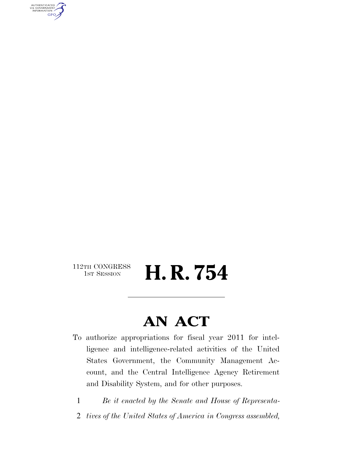AUTHENTICATED<br>U.S. GOVERNMENT<br>INFORMATION **GPO** 

 $\begin{array}{c} \textbf{112TH CONGRESS} \\ \textbf{1ST SESION} \end{array}$ 

H. R. 754

# **AN ACT**

- To authorize appropriations for fiscal year 2011 for intelligence and intelligence-related activities of the United States Government, the Community Management Account, and the Central Intelligence Agency Retirement and Disability System, and for other purposes.
	- 1 *Be it enacted by the Senate and House of Representa-*
	- 2 *tives of the United States of America in Congress assembled,*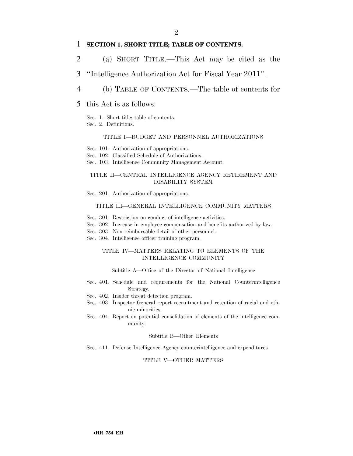## 1 **SECTION 1. SHORT TITLE; TABLE OF CONTENTS.**

- 2 (a) SHORT TITLE.—This Act may be cited as the
- 3 ''Intelligence Authorization Act for Fiscal Year 2011''.
- 4 (b) TABLE OF CONTENTS.—The table of contents for
- 5 this Act is as follows:
	- Sec. 1. Short title; table of contents.
	- Sec. 2. Definitions.

#### TITLE I—BUDGET AND PERSONNEL AUTHORIZATIONS

- Sec. 101. Authorization of appropriations.
- Sec. 102. Classified Schedule of Authorizations.
- Sec. 103. Intelligence Community Management Account.

### TITLE II—CENTRAL INTELLIGENCE AGENCY RETIREMENT AND DISABILITY SYSTEM

Sec. 201. Authorization of appropriations.

#### TITLE III—GENERAL INTELLIGENCE COMMUNITY MATTERS

- Sec. 301. Restriction on conduct of intelligence activities.
- Sec. 302. Increase in employee compensation and benefits authorized by law.
- Sec. 303. Non-reimbursable detail of other personnel.
- Sec. 304. Intelligence officer training program.

#### TITLE IV—MATTERS RELATING TO ELEMENTS OF THE INTELLIGENCE COMMUNITY

#### Subtitle A—Office of the Director of National Intelligence

- Sec. 401. Schedule and requirements for the National Counterintelligence Strategy.
- Sec. 402. Insider threat detection program.
- Sec. 403. Inspector General report recruitment and retention of racial and ethnic minorities.
- Sec. 404. Report on potential consolidation of elements of the intelligence community.

#### Subtitle B—Other Elements

Sec. 411. Defense Intelligence Agency counterintelligence and expenditures.

### TITLE V—OTHER MATTERS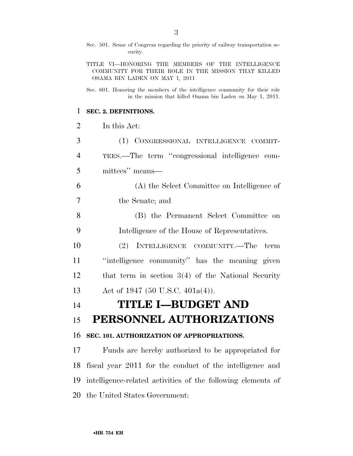|                | Sec. 501. Sense of Congress regarding the priority of railway transportation se-<br>curity.                                                |
|----------------|--------------------------------------------------------------------------------------------------------------------------------------------|
|                | TITLE VI-HONORING THE MEMBERS OF THE INTELLIGENCE<br>COMMUNITY FOR THEIR ROLE IN THE MISSION THAT KILLED<br>OSAMA BIN LADEN ON MAY 1, 2011 |
|                | Sec. 601. Honoring the members of the intelligence community for their role<br>in the mission that killed Osama bin Laden on May 1, 2011.  |
| 1              | SEC. 2. DEFINITIONS.                                                                                                                       |
| $\overline{2}$ | In this Act:                                                                                                                               |
| 3              | (1) CONGRESSIONAL INTELLIGENCE COMMIT-                                                                                                     |
| 4              | TEES.—The term "congressional intelligence com-                                                                                            |
| 5              | mittees" means-                                                                                                                            |
| 6              | (A) the Select Committee on Intelligence of                                                                                                |
| 7              | the Senate; and                                                                                                                            |
| 8              | (B) the Permanent Select Committee on                                                                                                      |
| 9              | Intelligence of the House of Representatives.                                                                                              |
| 10             | INTELLIGENCE COMMUNITY.—The<br><sup>(2)</sup><br>term                                                                                      |
| 11             | "intelligence community" has the meaning given                                                                                             |
| 12             | that term in section $3(4)$ of the National Security                                                                                       |
| 13             | Act of 1947 (50 U.S.C. 401a(4)).                                                                                                           |
| 14             | <b>TITLE I-BUDGET AND</b>                                                                                                                  |
| 15             | PERSONNEL AUTHORIZATIONS                                                                                                                   |
| 16             | SEC. 101. AUTHORIZATION OF APPROPRIATIONS.                                                                                                 |
| 17             | Funds are hereby authorized to be appropriated for                                                                                         |
| 18             | fiscal year 2011 for the conduct of the intelligence and                                                                                   |
| 19             | intelligence-related activities of the following elements of                                                                               |
| 20             | the United States Government:                                                                                                              |

•**HR 754 EH**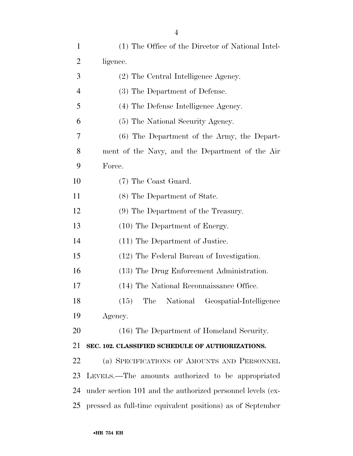| $\mathbf{1}$   | (1) The Office of the Director of National Intel-          |
|----------------|------------------------------------------------------------|
| $\overline{2}$ | ligence.                                                   |
| 3              | (2) The Central Intelligence Agency.                       |
| $\overline{4}$ | (3) The Department of Defense.                             |
| 5              | (4) The Defense Intelligence Agency.                       |
| 6              | (5) The National Security Agency.                          |
| 7              | (6) The Department of the Army, the Depart-                |
| 8              | ment of the Navy, and the Department of the Air            |
| 9              | Force.                                                     |
| 10             | (7) The Coast Guard.                                       |
| 11             | (8) The Department of State.                               |
| 12             | (9) The Department of the Treasury.                        |
| 13             | (10) The Department of Energy.                             |
| 14             | (11) The Department of Justice.                            |
| 15             | (12) The Federal Bureau of Investigation.                  |
| 16             | (13) The Drug Enforcement Administration.                  |
| 17             | (14) The National Reconnaissance Office.                   |
| 18             | (15) The National Geospatial-Intelligence                  |
| 19             | Agency.                                                    |
| 20             | (16) The Department of Homeland Security.                  |
| 21             | SEC. 102. CLASSIFIED SCHEDULE OF AUTHORIZATIONS.           |
| 22             | (a) SPECIFICATIONS OF AMOUNTS AND PERSONNEL                |
| 23             | LEVELS.—The amounts authorized to be appropriated          |
| 24             | under section 101 and the authorized personnel levels (ex- |
| 25             | pressed as full-time equivalent positions) as of September |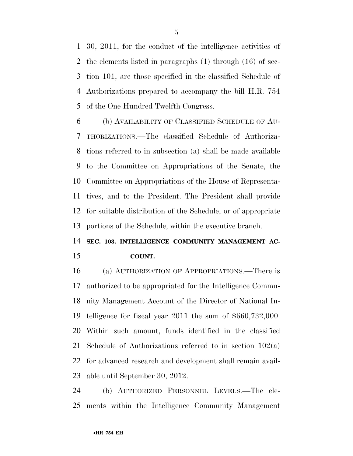30, 2011, for the conduct of the intelligence activities of the elements listed in paragraphs (1) through (16) of sec- tion 101, are those specified in the classified Schedule of Authorizations prepared to accompany the bill H.R. 754 of the One Hundred Twelfth Congress.

 (b) AVAILABILITY OF CLASSIFIED SCHEDULE OF AU- THORIZATIONS.—The classified Schedule of Authoriza- tions referred to in subsection (a) shall be made available to the Committee on Appropriations of the Senate, the Committee on Appropriations of the House of Representa- tives, and to the President. The President shall provide for suitable distribution of the Schedule, or of appropriate portions of the Schedule, within the executive branch.

# **SEC. 103. INTELLIGENCE COMMUNITY MANAGEMENT AC-COUNT.**

 (a) AUTHORIZATION OF APPROPRIATIONS.—There is authorized to be appropriated for the Intelligence Commu- nity Management Account of the Director of National In- telligence for fiscal year 2011 the sum of \$660,732,000. Within such amount, funds identified in the classified Schedule of Authorizations referred to in section 102(a) for advanced research and development shall remain avail-able until September 30, 2012.

 (b) AUTHORIZED PERSONNEL LEVELS.—The ele-ments within the Intelligence Community Management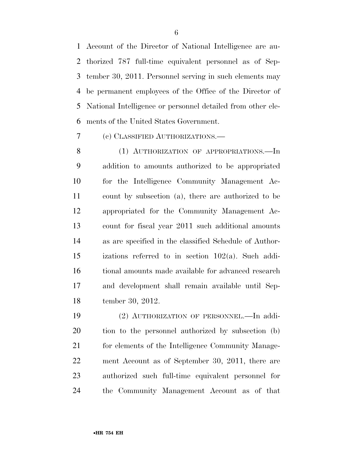Account of the Director of National Intelligence are au- thorized 787 full-time equivalent personnel as of Sep- tember 30, 2011. Personnel serving in such elements may be permanent employees of the Office of the Director of National Intelligence or personnel detailed from other ele-ments of the United States Government.

(c) CLASSIFIED AUTHORIZATIONS.—

8 (1) AUTHORIZATION OF APPROPRIATIONS.—In addition to amounts authorized to be appropriated for the Intelligence Community Management Ac- count by subsection (a), there are authorized to be appropriated for the Community Management Ac- count for fiscal year 2011 such additional amounts as are specified in the classified Schedule of Author- izations referred to in section 102(a). Such addi- tional amounts made available for advanced research and development shall remain available until Sep-tember 30, 2012.

 (2) AUTHORIZATION OF PERSONNEL.—In addi- tion to the personnel authorized by subsection (b) 21 for elements of the Intelligence Community Manage- ment Account as of September 30, 2011, there are authorized such full-time equivalent personnel for the Community Management Account as of that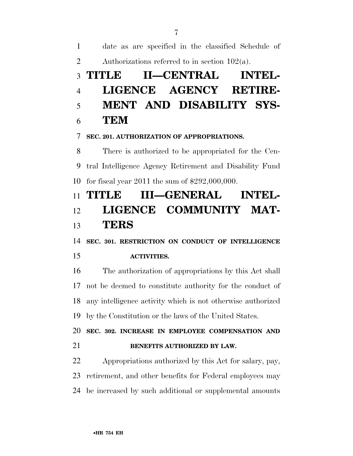date as are specified in the classified Schedule of 2 Authorizations referred to in section  $102(a)$ .

# **TITLE II—CENTRAL INTEL- LIGENCE AGENCY RETIRE- MENT AND DISABILITY SYS-TEM**

## **SEC. 201. AUTHORIZATION OF APPROPRIATIONS.**

 There is authorized to be appropriated for the Cen- tral Intelligence Agency Retirement and Disability Fund for fiscal year 2011 the sum of \$292,000,000.

# **TITLE III—GENERAL INTEL- LIGENCE COMMUNITY MAT-TERS**

**SEC. 301. RESTRICTION ON CONDUCT OF INTELLIGENCE** 

## **ACTIVITIES.**

 The authorization of appropriations by this Act shall not be deemed to constitute authority for the conduct of any intelligence activity which is not otherwise authorized by the Constitution or the laws of the United States.

 **SEC. 302. INCREASE IN EMPLOYEE COMPENSATION AND BENEFITS AUTHORIZED BY LAW.** 

 Appropriations authorized by this Act for salary, pay, retirement, and other benefits for Federal employees may be increased by such additional or supplemental amounts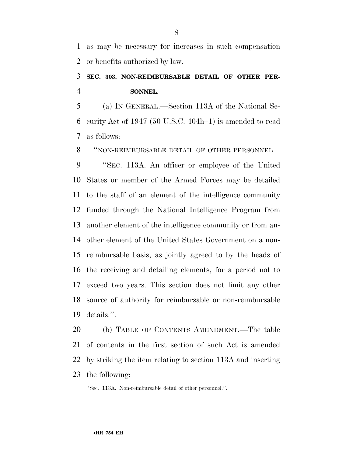as may be necessary for increases in such compensation or benefits authorized by law.

## **SEC. 303. NON-REIMBURSABLE DETAIL OF OTHER PER-SONNEL.**

 (a) IN GENERAL.—Section 113A of the National Se- curity Act of 1947 (50 U.S.C. 404h–1) is amended to read as follows:

''NON-REIMBURSABLE DETAIL OF OTHER PERSONNEL

 ''SEC. 113A. An officer or employee of the United States or member of the Armed Forces may be detailed to the staff of an element of the intelligence community funded through the National Intelligence Program from another element of the intelligence community or from an- other element of the United States Government on a non- reimbursable basis, as jointly agreed to by the heads of the receiving and detailing elements, for a period not to exceed two years. This section does not limit any other source of authority for reimbursable or non-reimbursable details.''.

 (b) TABLE OF CONTENTS AMENDMENT.—The table of contents in the first section of such Act is amended by striking the item relating to section 113A and inserting the following:

''Sec. 113A. Non-reimbursable detail of other personnel.''.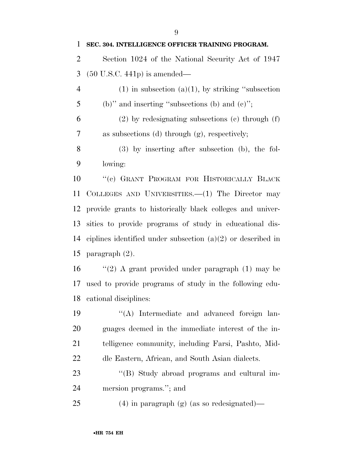| $\mathbf{1}$   | SEC. 304. INTELLIGENCE OFFICER TRAINING PROGRAM.              |
|----------------|---------------------------------------------------------------|
| $\overline{2}$ | Section 1024 of the National Security Act of 1947             |
| 3              | $(50 \text{ U.S.C. } 441p)$ is amended—                       |
| $\overline{4}$ | $(1)$ in subsection $(a)(1)$ , by striking "subsection        |
| 5              | (b)" and inserting "subsections (b) and $(c)$ ";              |
| 6              | $(2)$ by redesignating subsections $(e)$ through $(f)$        |
| 7              | as subsections (d) through (g), respectively;                 |
| 8              | $(3)$ by inserting after subsection (b), the fol-             |
| 9              | lowing:                                                       |
| 10             | "(c) GRANT PROGRAM FOR HISTORICALLY BLACK                     |
| 11             | COLLEGES AND UNIVERSITIES. $-(1)$ The Director may            |
| 12             | provide grants to historically black colleges and univer-     |
| 13             | sities to provide programs of study in educational dis-       |
| 14             | ciplines identified under subsection $(a)(2)$ or described in |
| 15             | paragraph $(2)$ .                                             |
| 16             | "(2) A grant provided under paragraph $(1)$ may be            |
| 17             | used to provide programs of study in the following edu-       |
|                | 18 cational disciplines:                                      |
| 19             | "(A) Intermediate and advanced foreign lan-                   |
| 20             | guages deemed in the immediate interest of the in-            |
| 21             | telligence community, including Farsi, Pashto, Mid-           |
| 22             | dle Eastern, African, and South Asian dialects.               |
| 23             | "(B) Study abroad programs and cultural im-                   |
| 24             | mersion programs."; and                                       |
| 25             | $(4)$ in paragraph $(g)$ (as so redesignated)—                |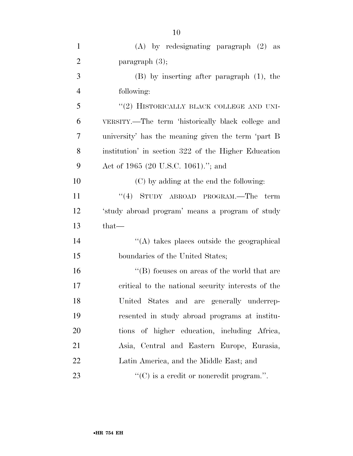| $\mathbf{1}$   | $(A)$ by redesignating paragraph $(2)$ as           |
|----------------|-----------------------------------------------------|
| $\overline{2}$ | paragraph (3);                                      |
| 3              | $(B)$ by inserting after paragraph $(1)$ , the      |
| $\overline{4}$ | following:                                          |
| 5              | "(2) HISTORICALLY BLACK COLLEGE AND UNI-            |
| 6              | VERSITY.—The term 'historically black college and   |
| 7              | university' has the meaning given the term 'part B  |
| 8              | institution' in section 322 of the Higher Education |
| 9              | Act of 1965 (20 U.S.C. 1061)."; and                 |
| 10             | (C) by adding at the end the following:             |
| 11             | "(4) STUDY ABROAD PROGRAM.—The<br>term              |
| 12             | 'study abroad program' means a program of study     |
| 13             | that-                                               |
| 14             | "(A) takes places outside the geographical          |
| 15             | boundaries of the United States;                    |
| 16             | "(B) focuses on areas of the world that are         |
| 17             | critical to the national security interests of the  |
| 18             | United States and are generally underrep-           |
| 19             | resented in study abroad programs at institu-       |
| 20             | tions of higher education, including Africa,        |
| 21             | Asia, Central and Eastern Europe, Eurasia,          |
| 22             | Latin America, and the Middle East; and             |
| 23             | $\lq\lq$ (C) is a credit or noncredit program.".    |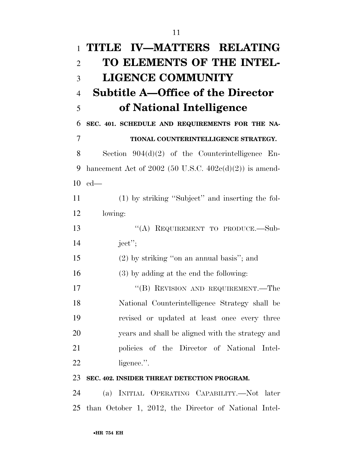| $\mathbf{1}$   | TITLE IV-MATTERS RELATING                                 |
|----------------|-----------------------------------------------------------|
| $\overline{2}$ | TO ELEMENTS OF THE INTEL-                                 |
| 3              | <b>LIGENCE COMMUNITY</b>                                  |
| $\overline{4}$ | <b>Subtitle A–Office of the Director</b>                  |
| 5              | of National Intelligence                                  |
| 6              | SEC. 401. SCHEDULE AND REQUIREMENTS FOR THE NA-           |
| 7              | TIONAL COUNTERINTELLIGENCE STRATEGY.                      |
| 8              | Section $904(d)(2)$ of the Counterintelligence En-        |
| 9              | hancement Act of 2002 (50 U.S.C. $402e(d)(2)$ ) is amend- |
| 10             | $ed$ —                                                    |
| 11             | (1) by striking "Subject" and inserting the fol-          |
| 12             | lowing:                                                   |
| 13             | "(A) REQUIREMENT TO PRODUCE.—Sub-                         |
| 14             | $ject$ <sup>"</sup> ;                                     |
| 15             | $(2)$ by striking "on an annual basis"; and               |
| 16             | $(3)$ by adding at the end the following:                 |
| 17             | "(B) REVISION AND REQUIREMENT.—The                        |
| 18             | National Counterintelligence Strategy shall be            |
| 19             | revised or updated at least once every three              |
| 20             | years and shall be aligned with the strategy and          |
| 21             | policies of the Director of National Intel-               |
| 22             | ligence.".                                                |
| 23             | SEC. 402. INSIDER THREAT DETECTION PROGRAM.               |
| 24             | INITIAL OPERATING CAPABILITY.—Not later<br>(a)            |

than October 1, 2012, the Director of National Intel-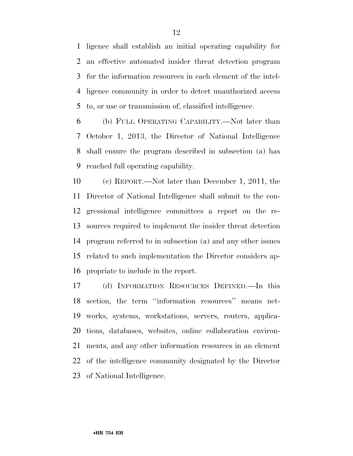ligence shall establish an initial operating capability for an effective automated insider threat detection program for the information resources in each element of the intel- ligence community in order to detect unauthorized access to, or use or transmission of, classified intelligence.

 (b) FULL OPERATING CAPABILITY.—Not later than October 1, 2013, the Director of National Intelligence shall ensure the program described in subsection (a) has reached full operating capability.

 (c) REPORT.—Not later than December 1, 2011, the Director of National Intelligence shall submit to the con- gressional intelligence committees a report on the re- sources required to implement the insider threat detection program referred to in subsection (a) and any other issues related to such implementation the Director considers ap-propriate to include in the report.

 (d) INFORMATION RESOURCES DEFINED.—In this section, the term ''information resources'' means net- works, systems, workstations, servers, routers, applica- tions, databases, websites, online collaboration environ- ments, and any other information resources in an element of the intelligence community designated by the Director of National Intelligence.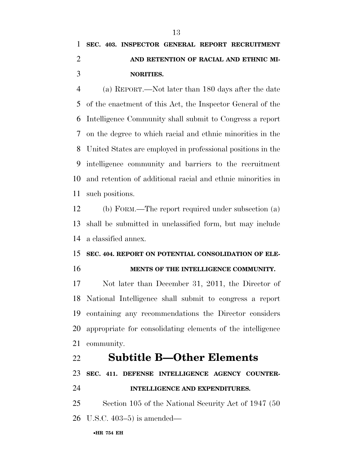# **SEC. 403. INSPECTOR GENERAL REPORT RECRUITMENT AND RETENTION OF RACIAL AND ETHNIC MI-NORITIES.**

 (a) REPORT.—Not later than 180 days after the date of the enactment of this Act, the Inspector General of the Intelligence Community shall submit to Congress a report on the degree to which racial and ethnic minorities in the United States are employed in professional positions in the intelligence community and barriers to the recruitment and retention of additional racial and ethnic minorities in such positions.

 (b) FORM.—The report required under subsection (a) shall be submitted in unclassified form, but may include a classified annex.

## **SEC. 404. REPORT ON POTENTIAL CONSOLIDATION OF ELE-**

**MENTS OF THE INTELLIGENCE COMMUNITY.** 

 Not later than December 31, 2011, the Director of National Intelligence shall submit to congress a report containing any recommendations the Director considers appropriate for consolidating elements of the intelligence community.

## **Subtitle B—Other Elements**

**SEC. 411. DEFENSE INTELLIGENCE AGENCY COUNTER-**

**INTELLIGENCE AND EXPENDITURES.** 

 Section 105 of the National Security Act of 1947 (50 U.S.C. 403–5) is amended—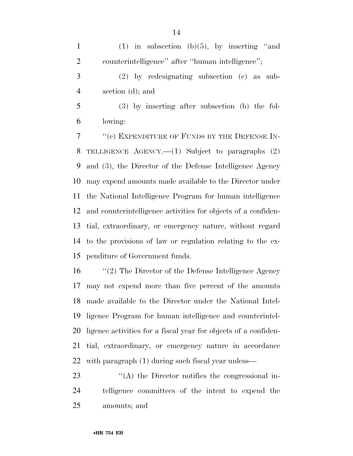1 (1) in subsection (b) $(5)$ , by inserting "and counterintelligence'' after ''human intelligence''; (2) by redesignating subsection (c) as sub- section (d); and (3) by inserting after subsection (b) the fol- lowing: 7 <sup>"</sup>(c) EXPENDITURE OF FUNDS BY THE DEFENSE IN- TELLIGENCE AGENCY.—(1) Subject to paragraphs (2) and (3), the Director of the Defense Intelligence Agency may expend amounts made available to the Director under the National Intelligence Program for human intelligence and counterintelligence activities for objects of a confiden- tial, extraordinary, or emergency nature, without regard to the provisions of law or regulation relating to the ex-penditure of Government funds.

 ''(2) The Director of the Defense Intelligence Agency may not expend more than five percent of the amounts made available to the Director under the National Intel- ligence Program for human intelligence and counterintel- ligence activities for a fiscal year for objects of a confiden- tial, extraordinary, or emergency nature in accordance with paragraph (1) during such fiscal year unless—

23  $\langle A \rangle$  the Director notifies the congressional in- telligence committees of the intent to expend the amounts; and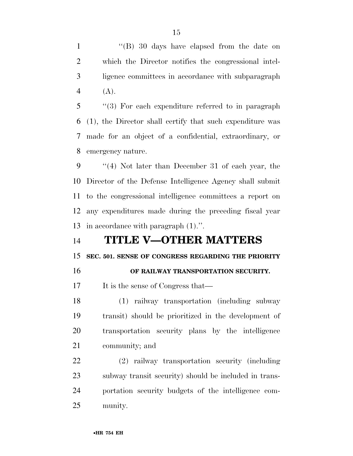1 "(B) 30 days have elapsed from the date on which the Director notifies the congressional intel- ligence committees in accordance with subparagraph  $4(A)$ .

 ''(3) For each expenditure referred to in paragraph (1), the Director shall certify that such expenditure was made for an object of a confidential, extraordinary, or emergency nature.

 ''(4) Not later than December 31 of each year, the Director of the Defense Intelligence Agency shall submit to the congressional intelligence committees a report on any expenditures made during the preceding fiscal year in accordance with paragraph (1).''.

# **TITLE V—OTHER MATTERS**

## **SEC. 501. SENSE OF CONGRESS REGARDING THE PRIORITY**

## **OF RAILWAY TRANSPORTATION SECURITY.**

17 It is the sense of Congress that—

 (1) railway transportation (including subway transit) should be prioritized in the development of transportation security plans by the intelligence community; and

 (2) railway transportation security (including subway transit security) should be included in trans- portation security budgets of the intelligence com-munity.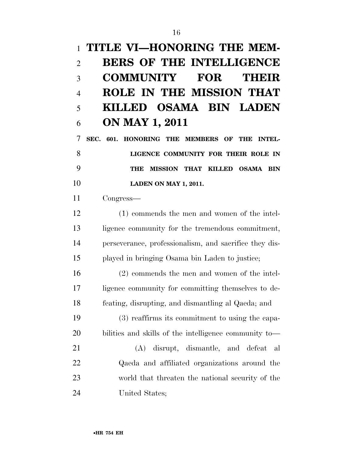# **TITLE VI—HONORING THE MEM- BERS OF THE INTELLIGENCE COMMUNITY FOR THEIR ROLE IN THE MISSION THAT KILLED OSAMA BIN LADEN ON MAY 1, 2011**

 **SEC. 601. HONORING THE MEMBERS OF THE INTEL- LIGENCE COMMUNITY FOR THEIR ROLE IN THE MISSION THAT KILLED OSAMA BIN LADEN ON MAY 1, 2011.** 

Congress—

 (1) commends the men and women of the intel-13 ligence community for the tremendous commitment, perseverance, professionalism, and sacrifice they dis-played in bringing Osama bin Laden to justice;

 (2) commends the men and women of the intel- ligence community for committing themselves to de-feating, disrupting, and dismantling al Qaeda; and

 (3) reaffirms its commitment to using the capa-bilities and skills of the intelligence community to—

 (A) disrupt, dismantle, and defeat al Qaeda and affiliated organizations around the world that threaten the national security of the United States;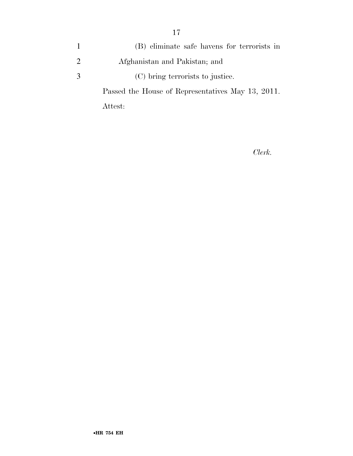|               | (B) eliminate safe havens for terrorists in       |
|---------------|---------------------------------------------------|
| $\mathcal{L}$ | Afghanistan and Pakistan; and                     |
| -3            | (C) bring terrorists to justice.                  |
|               | Passed the House of Representatives May 13, 2011. |

Attest:

*Clerk.*